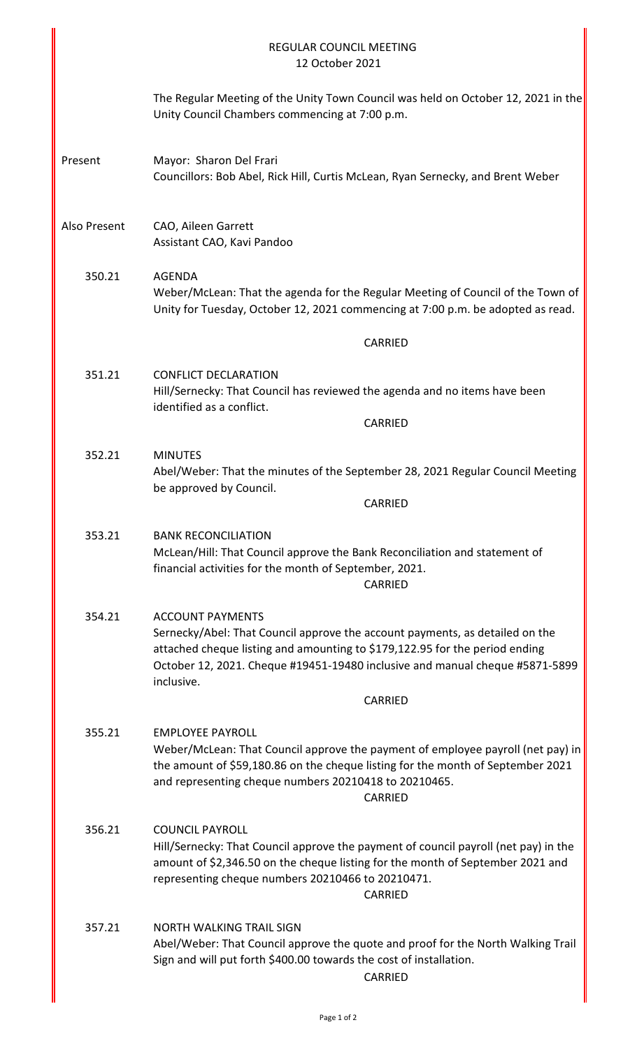|              | <b>REGULAR COUNCIL MEETING</b><br>12 October 2021                                                                                                                                                                                                                                    |
|--------------|--------------------------------------------------------------------------------------------------------------------------------------------------------------------------------------------------------------------------------------------------------------------------------------|
|              | The Regular Meeting of the Unity Town Council was held on October 12, 2021 in the<br>Unity Council Chambers commencing at 7:00 p.m.                                                                                                                                                  |
| Present      | Mayor: Sharon Del Frari<br>Councillors: Bob Abel, Rick Hill, Curtis McLean, Ryan Sernecky, and Brent Weber                                                                                                                                                                           |
| Also Present | CAO, Aileen Garrett<br>Assistant CAO, Kavi Pandoo                                                                                                                                                                                                                                    |
| 350.21       | <b>AGENDA</b><br>Weber/McLean: That the agenda for the Regular Meeting of Council of the Town of<br>Unity for Tuesday, October 12, 2021 commencing at 7:00 p.m. be adopted as read.                                                                                                  |
|              | <b>CARRIED</b>                                                                                                                                                                                                                                                                       |
| 351.21       | <b>CONFLICT DECLARATION</b><br>Hill/Sernecky: That Council has reviewed the agenda and no items have been<br>identified as a conflict.                                                                                                                                               |
|              | <b>CARRIED</b>                                                                                                                                                                                                                                                                       |
| 352.21       | <b>MINUTES</b><br>Abel/Weber: That the minutes of the September 28, 2021 Regular Council Meeting<br>be approved by Council.                                                                                                                                                          |
|              | CARRIED                                                                                                                                                                                                                                                                              |
| 353.21       | <b>BANK RECONCILIATION</b><br>McLean/Hill: That Council approve the Bank Reconciliation and statement of<br>financial activities for the month of September, 2021.<br>CARRIED                                                                                                        |
| 354.21       | <b>ACCOUNT PAYMENTS</b><br>Sernecky/Abel: That Council approve the account payments, as detailed on the<br>attached cheque listing and amounting to \$179,122.95 for the period ending<br>October 12, 2021. Cheque #19451-19480 inclusive and manual cheque #5871-5899<br>inclusive. |
|              | <b>CARRIED</b>                                                                                                                                                                                                                                                                       |
| 355.21       | <b>EMPLOYEE PAYROLL</b><br>Weber/McLean: That Council approve the payment of employee payroll (net pay) in<br>the amount of \$59,180.86 on the cheque listing for the month of September 2021<br>and representing cheque numbers 20210418 to 20210465.<br><b>CARRIED</b>             |
| 356.21       | <b>COUNCIL PAYROLL</b><br>Hill/Sernecky: That Council approve the payment of council payroll (net pay) in the<br>amount of \$2,346.50 on the cheque listing for the month of September 2021 and<br>representing cheque numbers 20210466 to 20210471.<br><b>CARRIED</b>               |
| 357.21       | <b>NORTH WALKING TRAIL SIGN</b><br>Abel/Weber: That Council approve the quote and proof for the North Walking Trail<br>Sign and will put forth \$400.00 towards the cost of installation.<br>CARRIED                                                                                 |